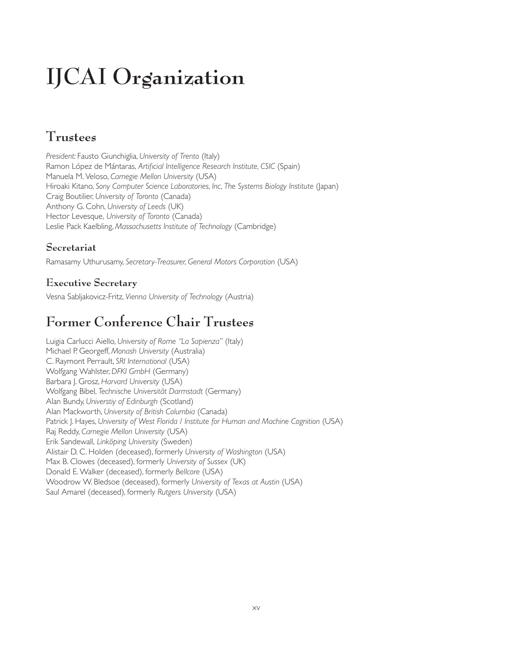# **IJCAI Organization**

### **Trustees**

*President:* Fausto Giunchiglia, *University of Trento* (Italy) Ramon López de Mántaras, *Artificial Intelligence Research Institute, CSIC* (Spain) Manuela M. Veloso, *Carnegie Mellon University* (USA) Hiroaki Kitano, *Sony Computer Science Laboratories, Inc, The Systems Biology Institute* (Japan) Craig Boutilier, *University of Toronto* (Canada) Anthony G. Cohn, *University of Leeds* (UK) Hector Levesque, *University of Toronto* (Canada) Leslie Pack Kaelbling, *Massachusetts Institute of Technology* (Cambridge)

#### **Secretariat**

Ramasamy Uthurusamy, *Secretary-Treasurer, General Motors Corporation* (USA)

#### **Executive Secretary**

Vesna Sabljakovicz-Fritz, *Vienna University of Technology* (Austria)

## **Former Conference Chair Trustees**

Luigia Carlucci Aiello, *University of Rome "La Sapienza"* (Italy) Michael P. Georgeff, *Monash University* (Australia) C. Raymont Perrault, *SRI International* (USA) Wolfgang Wahlster, *DFKI GmbH* (Germany) Barbara J. Grosz, *Harvard University* (USA) Wolfgang Bibel, *Technische Universität Darmstadt* (Germany) Alan Bundy, *Universtiy of Edinburgh* (Scotland) Alan Mackworth, *University of British Columbia* (Canada) Patrick J. Hayes, *University of West Florida* / *Institute for Human and Machine Cognition* (USA) Raj Reddy, *Carnegie Mellon University* (USA) Erik Sandewall, *Linköping University* (Sweden) Alistair D. C. Holden (deceased), formerly *University of Washington* (USA) Max B. Clowes (deceased), formerly *University of Sussex* (UK) Donald E. Walker (deceased), formerly *Bellcore* (USA) Woodrow W. Bledsoe (deceased), formerly *University of Texas at Austin* (USA) Saul Amarel (deceased), formerly *Rutgers University* (USA)